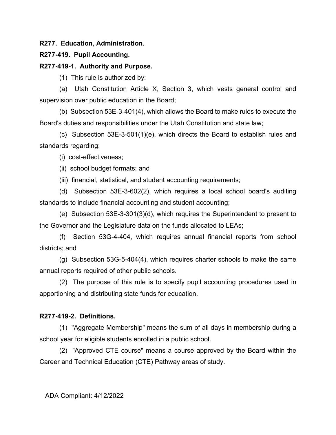**R277. Education, Administration.**

## **R277-419. Pupil Accounting.**

## **R277-419-1. Authority and Purpose.**

(1) This rule is authorized by:

(a) Utah Constitution Article X, Section 3, which vests general control and supervision over public education in the Board;

(b) Subsection 53E-3-401(4), which allows the Board to make rules to execute the Board's duties and responsibilities under the Utah Constitution and state law;

(c) Subsection 53E-3-501(1)(e), which directs the Board to establish rules and standards regarding:

(i) cost-effectiveness;

(ii) school budget formats; and

(iii) financial, statistical, and student accounting requirements;

(d) Subsection 53E-3-602(2), which requires a local school board's auditing standards to include financial accounting and student accounting;

(e) Subsection 53E-3-301(3)(d), which requires the Superintendent to present to the Governor and the Legislature data on the funds allocated to LEAs;

(f) Section 53G-4-404, which requires annual financial reports from school districts; and

(g) Subsection 53G-5-404(4), which requires charter schools to make the same annual reports required of other public schools.

(2) The purpose of this rule is to specify pupil accounting procedures used in apportioning and distributing state funds for education.

# **R277-419-2. Definitions.**

(1) "Aggregate Membership" means the sum of all days in membership during a school year for eligible students enrolled in a public school.

(2) "Approved CTE course" means a course approved by the Board within the Career and Technical Education (CTE) Pathway areas of study.

ADA Compliant: 4/12/2022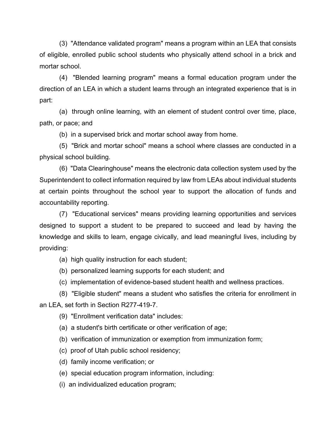(3) "Attendance validated program" means a program within an LEA that consists of eligible, enrolled public school students who physically attend school in a brick and mortar school.

(4) "Blended learning program" means a formal education program under the direction of an LEA in which a student learns through an integrated experience that is in part:

(a) through online learning, with an element of student control over time, place, path, or pace; and

(b) in a supervised brick and mortar school away from home.

(5) "Brick and mortar school" means a school where classes are conducted in a physical school building.

(6) "Data Clearinghouse" means the electronic data collection system used by the Superintendent to collect information required by law from LEAs about individual students at certain points throughout the school year to support the allocation of funds and accountability reporting.

(7) "Educational services" means providing learning opportunities and services designed to support a student to be prepared to succeed and lead by having the knowledge and skills to learn, engage civically, and lead meaningful lives, including by providing:

- (a) high quality instruction for each student;
- (b) personalized learning supports for each student; and
- (c) implementation of evidence-based student health and wellness practices.

(8) "Eligible student" means a student who satisfies the criteria for enrollment in an LEA, set forth in Section R277-419-7.

- (9) "Enrollment verification data" includes:
- (a) a student's birth certificate or other verification of age;
- (b) verification of immunization or exemption from immunization form;
- (c) proof of Utah public school residency;
- (d) family income verification; or
- (e) special education program information, including:
- (i) an individualized education program;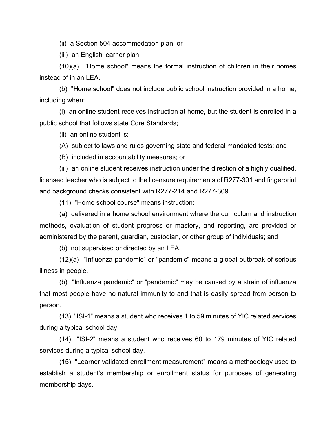(ii) a Section 504 accommodation plan; or

(iii) an English learner plan.

(10)(a) "Home school" means the formal instruction of children in their homes instead of in an LEA.

(b) "Home school" does not include public school instruction provided in a home, including when:

(i) an online student receives instruction at home, but the student is enrolled in a public school that follows state Core Standards;

(ii) an online student is:

(A) subject to laws and rules governing state and federal mandated tests; and

(B) included in accountability measures; or

(iii) an online student receives instruction under the direction of a highly qualified, licensed teacher who is subject to the licensure requirements of R277-301 and fingerprint and background checks consistent with R277-214 and R277-309.

(11) "Home school course" means instruction:

(a) delivered in a home school environment where the curriculum and instruction methods, evaluation of student progress or mastery, and reporting, are provided or administered by the parent, guardian, custodian, or other group of individuals; and

(b) not supervised or directed by an LEA.

(12)(a) "Influenza pandemic" or "pandemic" means a global outbreak of serious illness in people.

(b) "Influenza pandemic" or "pandemic" may be caused by a strain of influenza that most people have no natural immunity to and that is easily spread from person to person.

(13) "ISI-1" means a student who receives 1 to 59 minutes of YIC related services during a typical school day.

(14) "ISI-2" means a student who receives 60 to 179 minutes of YIC related services during a typical school day.

(15) "Learner validated enrollment measurement" means a methodology used to establish a student's membership or enrollment status for purposes of generating membership days.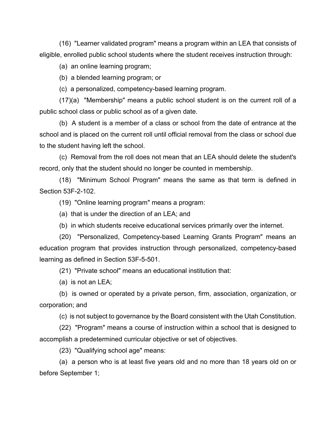(16) "Learner validated program" means a program within an LEA that consists of eligible, enrolled public school students where the student receives instruction through:

(a) an online learning program;

(b) a blended learning program; or

(c) a personalized, competency-based learning program.

(17)(a) "Membership" means a public school student is on the current roll of a public school class or public school as of a given date.

(b) A student is a member of a class or school from the date of entrance at the school and is placed on the current roll until official removal from the class or school due to the student having left the school.

(c) Removal from the roll does not mean that an LEA should delete the student's record, only that the student should no longer be counted in membership.

(18) "Minimum School Program" means the same as that term is defined in Section 53F-2-102.

(19) "Online learning program" means a program:

(a) that is under the direction of an LEA; and

(b) in which students receive educational services primarily over the internet.

(20) "Personalized, Competency-based Learning Grants Program" means an education program that provides instruction through personalized, competency-based learning as defined in Section 53F-5-501.

(21) "Private school" means an educational institution that:

(a) is not an LEA;

(b) is owned or operated by a private person, firm, association, organization, or corporation; and

(c) is not subject to governance by the Board consistent with the Utah Constitution.

(22) "Program" means a course of instruction within a school that is designed to accomplish a predetermined curricular objective or set of objectives.

(23) "Qualifying school age" means:

(a) a person who is at least five years old and no more than 18 years old on or before September 1;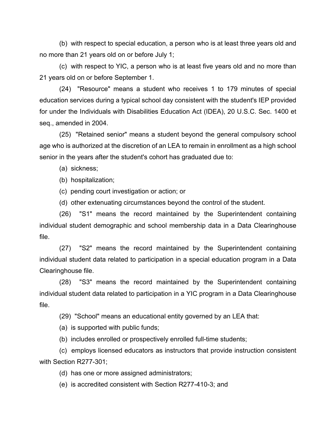(b) with respect to special education, a person who is at least three years old and no more than 21 years old on or before July 1;

(c) with respect to YIC, a person who is at least five years old and no more than 21 years old on or before September 1.

(24) "Resource" means a student who receives 1 to 179 minutes of special education services during a typical school day consistent with the student's IEP provided for under the Individuals with Disabilities Education Act (IDEA), 20 U.S.C. Sec. 1400 et seq., amended in 2004.

(25) "Retained senior" means a student beyond the general compulsory school age who is authorized at the discretion of an LEA to remain in enrollment as a high school senior in the years after the student's cohort has graduated due to:

(a) sickness;

(b) hospitalization;

(c) pending court investigation or action; or

(d) other extenuating circumstances beyond the control of the student.

(26) "S1" means the record maintained by the Superintendent containing individual student demographic and school membership data in a Data Clearinghouse file.

(27) "S2" means the record maintained by the Superintendent containing individual student data related to participation in a special education program in a Data Clearinghouse file.

(28) "S3" means the record maintained by the Superintendent containing individual student data related to participation in a YIC program in a Data Clearinghouse file.

(29) "School" means an educational entity governed by an LEA that:

(a) is supported with public funds;

(b) includes enrolled or prospectively enrolled full-time students;

(c) employs licensed educators as instructors that provide instruction consistent with Section R277-301;

(d) has one or more assigned administrators;

(e) is accredited consistent with Section R277-410-3; and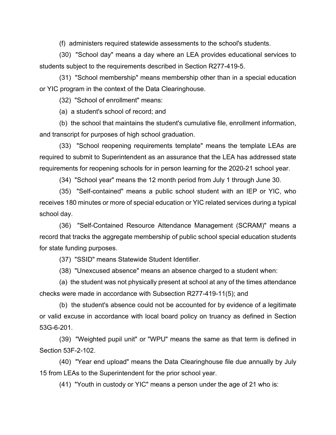(f) administers required statewide assessments to the school's students.

(30) "School day" means a day where an LEA provides educational services to students subject to the requirements described in Section R277-419-5.

(31) "School membership" means membership other than in a special education or YIC program in the context of the Data Clearinghouse.

(32) "School of enrollment" means:

(a) a student's school of record; and

(b) the school that maintains the student's cumulative file, enrollment information, and transcript for purposes of high school graduation.

(33) "School reopening requirements template" means the template LEAs are required to submit to Superintendent as an assurance that the LEA has addressed state requirements for reopening schools for in person learning for the 2020-21 school year.

(34) "School year" means the 12 month period from July 1 through June 30.

(35) "Self-contained" means a public school student with an IEP or YIC, who receives 180 minutes or more of special education or YIC related services during a typical school day.

(36) "Self-Contained Resource Attendance Management (SCRAM)" means a record that tracks the aggregate membership of public school special education students for state funding purposes.

(37) "SSID" means Statewide Student Identifier.

(38) "Unexcused absence" means an absence charged to a student when:

(a) the student was not physically present at school at any of the times attendance checks were made in accordance with Subsection R277-419-11(5); and

(b) the student's absence could not be accounted for by evidence of a legitimate or valid excuse in accordance with local board policy on truancy as defined in Section 53G-6-201.

(39) "Weighted pupil unit" or "WPU" means the same as that term is defined in Section 53F-2-102.

(40) "Year end upload" means the Data Clearinghouse file due annually by July 15 from LEAs to the Superintendent for the prior school year.

(41) "Youth in custody or YIC" means a person under the age of 21 who is: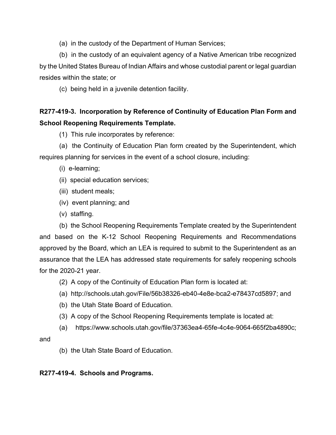(a) in the custody of the Department of Human Services;

(b) in the custody of an equivalent agency of a Native American tribe recognized by the United States Bureau of Indian Affairs and whose custodial parent or legal guardian resides within the state; or

(c) being held in a juvenile detention facility.

# **R277-419-3. Incorporation by Reference of Continuity of Education Plan Form and School Reopening Requirements Template.**

(1) This rule incorporates by reference:

(a) the Continuity of Education Plan form created by the Superintendent, which requires planning for services in the event of a school closure, including:

(i) e-learning;

- (ii) special education services;
- (iii) student meals;
- (iv) event planning; and
- (v) staffing.

(b) the School Reopening Requirements Template created by the Superintendent and based on the K-12 School Reopening Requirements and Recommendations approved by the Board, which an LEA is required to submit to the Superintendent as an assurance that the LEA has addressed state requirements for safely reopening schools for the 2020-21 year.

- (2) A copy of the Continuity of Education Plan form is located at:
- (a) http://schools.utah.gov/File/56b38326-eb40-4e8e-bca2-e78437cd5897; and
- (b) the Utah State Board of Education.
- (3) A copy of the School Reopening Requirements template is located at:
- (a) https://www.schools.utah.gov/file/37363ea4-65fe-4c4e-9064-665f2ba4890c;

and

(b) the Utah State Board of Education.

# **R277-419-4. Schools and Programs.**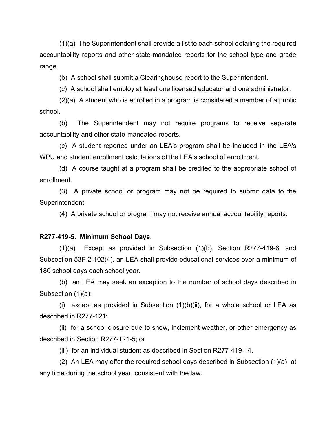(1)(a) The Superintendent shall provide a list to each school detailing the required accountability reports and other state-mandated reports for the school type and grade range.

(b) A school shall submit a Clearinghouse report to the Superintendent.

(c) A school shall employ at least one licensed educator and one administrator.

(2)(a) A student who is enrolled in a program is considered a member of a public school.

(b) The Superintendent may not require programs to receive separate accountability and other state-mandated reports.

(c) A student reported under an LEA's program shall be included in the LEA's WPU and student enrollment calculations of the LEA's school of enrollment.

(d) A course taught at a program shall be credited to the appropriate school of enrollment.

(3) A private school or program may not be required to submit data to the Superintendent.

(4) A private school or program may not receive annual accountability reports.

#### **R277-419-5. Minimum School Days.**

(1)(a) Except as provided in Subsection (1)(b), Section R277-419-6, and Subsection 53F-2-102(4), an LEA shall provide educational services over a minimum of 180 school days each school year.

(b) an LEA may seek an exception to the number of school days described in Subsection (1)(a):

(i) except as provided in Subsection  $(1)(b)(ii)$ , for a whole school or LEA as described in R277-121;

(ii) for a school closure due to snow, inclement weather, or other emergency as described in Section R277-121-5; or

(iii) for an individual student as described in Section R277-419-14.

(2) An LEA may offer the required school days described in Subsection (1)(a) at any time during the school year, consistent with the law.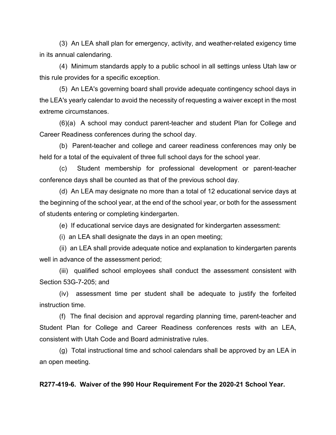(3) An LEA shall plan for emergency, activity, and weather-related exigency time in its annual calendaring.

(4) Minimum standards apply to a public school in all settings unless Utah law or this rule provides for a specific exception.

(5) An LEA's governing board shall provide adequate contingency school days in the LEA's yearly calendar to avoid the necessity of requesting a waiver except in the most extreme circumstances.

(6)(a) A school may conduct parent-teacher and student Plan for College and Career Readiness conferences during the school day.

(b) Parent-teacher and college and career readiness conferences may only be held for a total of the equivalent of three full school days for the school year.

(c) Student membership for professional development or parent-teacher conference days shall be counted as that of the previous school day.

(d) An LEA may designate no more than a total of 12 educational service days at the beginning of the school year, at the end of the school year, or both for the assessment of students entering or completing kindergarten.

(e) If educational service days are designated for kindergarten assessment:

(i) an LEA shall designate the days in an open meeting;

(ii) an LEA shall provide adequate notice and explanation to kindergarten parents well in advance of the assessment period;

(iii) qualified school employees shall conduct the assessment consistent with Section 53G-7-205; and

(iv) assessment time per student shall be adequate to justify the forfeited instruction time.

(f) The final decision and approval regarding planning time, parent-teacher and Student Plan for College and Career Readiness conferences rests with an LEA, consistent with Utah Code and Board administrative rules.

(g) Total instructional time and school calendars shall be approved by an LEA in an open meeting.

### **R277-419-6. Waiver of the 990 Hour Requirement For the 2020-21 School Year.**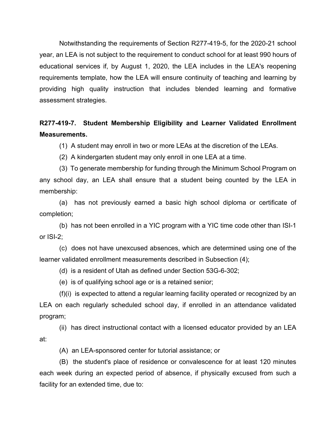Notwithstanding the requirements of Section R277-419-5, for the 2020-21 school year, an LEA is not subject to the requirement to conduct school for at least 990 hours of educational services if, by August 1, 2020, the LEA includes in the LEA's reopening requirements template, how the LEA will ensure continuity of teaching and learning by providing high quality instruction that includes blended learning and formative assessment strategies.

# **R277-419-7. Student Membership Eligibility and Learner Validated Enrollment Measurements.**

(1) A student may enroll in two or more LEAs at the discretion of the LEAs.

(2) A kindergarten student may only enroll in one LEA at a time.

(3) To generate membership for funding through the Minimum School Program on any school day, an LEA shall ensure that a student being counted by the LEA in membership:

(a) has not previously earned a basic high school diploma or certificate of completion;

(b) has not been enrolled in a YIC program with a YIC time code other than ISI-1 or ISI-2;

(c) does not have unexcused absences, which are determined using one of the learner validated enrollment measurements described in Subsection (4);

(d) is a resident of Utah as defined under Section 53G-6-302;

(e) is of qualifying school age or is a retained senior;

(f)(i) is expected to attend a regular learning facility operated or recognized by an LEA on each regularly scheduled school day, if enrolled in an attendance validated program;

(ii) has direct instructional contact with a licensed educator provided by an LEA at:

(A) an LEA-sponsored center for tutorial assistance; or

(B) the student's place of residence or convalescence for at least 120 minutes each week during an expected period of absence, if physically excused from such a facility for an extended time, due to: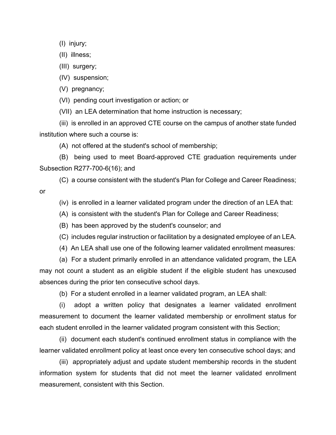(I) injury;

(II) illness;

(III) surgery;

(IV) suspension;

(V) pregnancy;

(VI) pending court investigation or action; or

(VII) an LEA determination that home instruction is necessary;

(iii) is enrolled in an approved CTE course on the campus of another state funded institution where such a course is:

(A) not offered at the student's school of membership;

(B) being used to meet Board-approved CTE graduation requirements under Subsection R277-700-6(16); and

(C) a course consistent with the student's Plan for College and Career Readiness;

or

(iv) is enrolled in a learner validated program under the direction of an LEA that:

(A) is consistent with the student's Plan for College and Career Readiness;

(B) has been approved by the student's counselor; and

(C) includes regular instruction or facilitation by a designated employee of an LEA.

(4) An LEA shall use one of the following learner validated enrollment measures:

(a) For a student primarily enrolled in an attendance validated program, the LEA may not count a student as an eligible student if the eligible student has unexcused absences during the prior ten consecutive school days.

(b) For a student enrolled in a learner validated program, an LEA shall:

(i) adopt a written policy that designates a learner validated enrollment measurement to document the learner validated membership or enrollment status for each student enrolled in the learner validated program consistent with this Section;

(ii) document each student's continued enrollment status in compliance with the learner validated enrollment policy at least once every ten consecutive school days; and

(iii) appropriately adjust and update student membership records in the student information system for students that did not meet the learner validated enrollment measurement, consistent with this Section.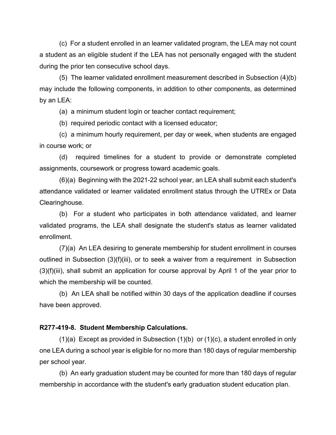(c) For a student enrolled in an learner validated program, the LEA may not count a student as an eligible student if the LEA has not personally engaged with the student during the prior ten consecutive school days.

(5) The learner validated enrollment measurement described in Subsection (4)(b) may include the following components, in addition to other components, as determined by an LEA:

(a) a minimum student login or teacher contact requirement;

(b) required periodic contact with a licensed educator;

(c) a minimum hourly requirement, per day or week, when students are engaged in course work; or

(d) required timelines for a student to provide or demonstrate completed assignments, coursework or progress toward academic goals.

(6)(a) Beginning with the 2021-22 school year, an LEA shall submit each student's attendance validated or learner validated enrollment status through the UTREx or Data Clearinghouse.

(b) For a student who participates in both attendance validated, and learner validated programs, the LEA shall designate the student's status as learner validated enrollment.

(7)(a) An LEA desiring to generate membership for student enrollment in courses outlined in Subsection (3)(f)(iii), or to seek a waiver from a requirement in Subsection (3)(f)(iii), shall submit an application for course approval by April 1 of the year prior to which the membership will be counted.

(b) An LEA shall be notified within 30 days of the application deadline if courses have been approved.

### **R277-419-8. Student Membership Calculations.**

(1)(a) Except as provided in Subsection (1)(b) or (1)(c), a student enrolled in only one LEA during a school year is eligible for no more than 180 days of regular membership per school year.

(b) An early graduation student may be counted for more than 180 days of regular membership in accordance with the student's early graduation student education plan.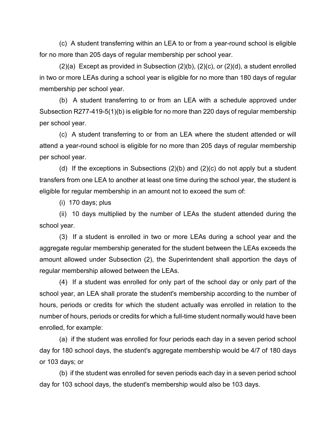(c) A student transferring within an LEA to or from a year-round school is eligible for no more than 205 days of regular membership per school year.

 $(2)(a)$  Except as provided in Subsection  $(2)(b)$ ,  $(2)(c)$ , or  $(2)(d)$ , a student enrolled in two or more LEAs during a school year is eligible for no more than 180 days of regular membership per school year.

(b) A student transferring to or from an LEA with a schedule approved under Subsection R277-419-5(1)(b) is eligible for no more than 220 days of regular membership per school year.

(c) A student transferring to or from an LEA where the student attended or will attend a year-round school is eligible for no more than 205 days of regular membership per school year.

(d) If the exceptions in Subsections  $(2)(b)$  and  $(2)(c)$  do not apply but a student transfers from one LEA to another at least one time during the school year, the student is eligible for regular membership in an amount not to exceed the sum of:

(i) 170 days; plus

(ii) 10 days multiplied by the number of LEAs the student attended during the school year.

(3) If a student is enrolled in two or more LEAs during a school year and the aggregate regular membership generated for the student between the LEAs exceeds the amount allowed under Subsection (2), the Superintendent shall apportion the days of regular membership allowed between the LEAs.

(4) If a student was enrolled for only part of the school day or only part of the school year, an LEA shall prorate the student's membership according to the number of hours, periods or credits for which the student actually was enrolled in relation to the number of hours, periods or credits for which a full-time student normally would have been enrolled, for example:

(a) if the student was enrolled for four periods each day in a seven period school day for 180 school days, the student's aggregate membership would be 4/7 of 180 days or 103 days; or

(b) if the student was enrolled for seven periods each day in a seven period school day for 103 school days, the student's membership would also be 103 days.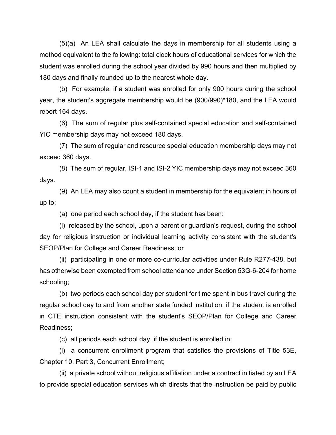(5)(a) An LEA shall calculate the days in membership for all students using a method equivalent to the following: total clock hours of educational services for which the student was enrolled during the school year divided by 990 hours and then multiplied by 180 days and finally rounded up to the nearest whole day.

(b) For example, if a student was enrolled for only 900 hours during the school year, the student's aggregate membership would be (900/990)\*180, and the LEA would report 164 days.

(6) The sum of regular plus self-contained special education and self-contained YIC membership days may not exceed 180 days.

(7) The sum of regular and resource special education membership days may not exceed 360 days.

(8) The sum of regular, ISI-1 and ISI-2 YIC membership days may not exceed 360 days.

(9) An LEA may also count a student in membership for the equivalent in hours of up to:

(a) one period each school day, if the student has been:

(i) released by the school, upon a parent or guardian's request, during the school day for religious instruction or individual learning activity consistent with the student's SEOP/Plan for College and Career Readiness; or

(ii) participating in one or more co-curricular activities under Rule R277-438, but has otherwise been exempted from school attendance under Section 53G-6-204 for home schooling;

(b) two periods each school day per student for time spent in bus travel during the regular school day to and from another state funded institution, if the student is enrolled in CTE instruction consistent with the student's SEOP/Plan for College and Career Readiness;

(c) all periods each school day, if the student is enrolled in:

(i) a concurrent enrollment program that satisfies the provisions of Title 53E, Chapter 10, Part 3, Concurrent Enrollment;

(ii) a private school without religious affiliation under a contract initiated by an LEA to provide special education services which directs that the instruction be paid by public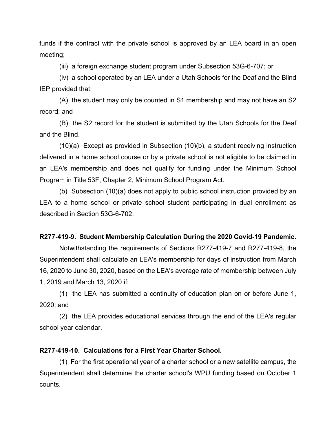funds if the contract with the private school is approved by an LEA board in an open meeting;

(iii) a foreign exchange student program under Subsection 53G-6-707; or

(iv) a school operated by an LEA under a Utah Schools for the Deaf and the Blind IEP provided that:

(A) the student may only be counted in S1 membership and may not have an S2 record; and

(B) the S2 record for the student is submitted by the Utah Schools for the Deaf and the Blind.

(10)(a) Except as provided in Subsection (10)(b), a student receiving instruction delivered in a home school course or by a private school is not eligible to be claimed in an LEA's membership and does not qualify for funding under the Minimum School Program in Title 53F, Chapter 2, Minimum School Program Act.

(b) Subsection (10)(a) does not apply to public school instruction provided by an LEA to a home school or private school student participating in dual enrollment as described in Section 53G-6-702.

## **R277-419-9. Student Membership Calculation During the 2020 Covid-19 Pandemic.**

Notwithstanding the requirements of Sections R277-419-7 and R277-419-8, the Superintendent shall calculate an LEA's membership for days of instruction from March 16, 2020 to June 30, 2020, based on the LEA's average rate of membership between July 1, 2019 and March 13, 2020 if:

(1) the LEA has submitted a continuity of education plan on or before June 1, 2020; and

(2) the LEA provides educational services through the end of the LEA's regular school year calendar.

## **R277-419-10. Calculations for a First Year Charter School.**

(1) For the first operational year of a charter school or a new satellite campus, the Superintendent shall determine the charter school's WPU funding based on October 1 counts.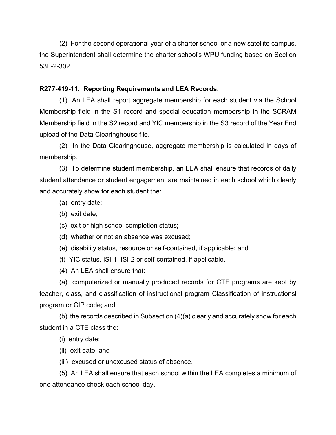(2) For the second operational year of a charter school or a new satellite campus, the Superintendent shall determine the charter school's WPU funding based on Section 53F-2-302.

# **R277-419-11. Reporting Requirements and LEA Records.**

(1) An LEA shall report aggregate membership for each student via the School Membership field in the S1 record and special education membership in the SCRAM Membership field in the S2 record and YIC membership in the S3 record of the Year End upload of the Data Clearinghouse file.

(2) In the Data Clearinghouse, aggregate membership is calculated in days of membership.

(3) To determine student membership, an LEA shall ensure that records of daily student attendance or student engagement are maintained in each school which clearly and accurately show for each student the:

- (a) entry date;
- (b) exit date;
- (c) exit or high school completion status;
- (d) whether or not an absence was excused;
- (e) disability status, resource or self-contained, if applicable; and
- (f) YIC status, ISI-1, ISI-2 or self-contained, if applicable.
- (4) An LEA shall ensure that:

(a) computerized or manually produced records for CTE programs are kept by teacher, class, and classification of instructional program Classification of instructionsl program or CIP code; and

(b) the records described in Subsection (4)(a) clearly and accurately show for each student in a CTE class the:

- (i) entry date;
- (ii) exit date; and
- (iii) excused or unexcused status of absence.

(5) An LEA shall ensure that each school within the LEA completes a minimum of one attendance check each school day.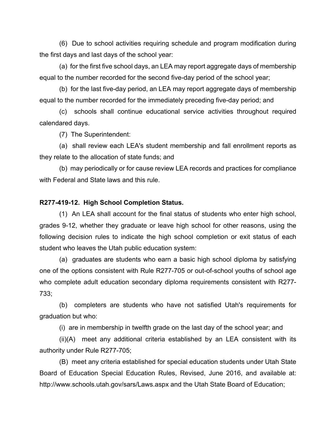(6) Due to school activities requiring schedule and program modification during the first days and last days of the school year:

(a) for the first five school days, an LEA may report aggregate days of membership equal to the number recorded for the second five-day period of the school year;

(b) for the last five-day period, an LEA may report aggregate days of membership equal to the number recorded for the immediately preceding five-day period; and

(c) schools shall continue educational service activities throughout required calendared days.

(7) The Superintendent:

(a) shall review each LEA's student membership and fall enrollment reports as they relate to the allocation of state funds; and

(b) may periodically or for cause review LEA records and practices for compliance with Federal and State laws and this rule.

### **R277-419-12. High School Completion Status.**

(1) An LEA shall account for the final status of students who enter high school, grades 9-12, whether they graduate or leave high school for other reasons, using the following decision rules to indicate the high school completion or exit status of each student who leaves the Utah public education system:

(a) graduates are students who earn a basic high school diploma by satisfying one of the options consistent with Rule R277-705 or out-of-school youths of school age who complete adult education secondary diploma requirements consistent with R277- 733;

(b) completers are students who have not satisfied Utah's requirements for graduation but who:

(i) are in membership in twelfth grade on the last day of the school year; and

(ii)(A) meet any additional criteria established by an LEA consistent with its authority under Rule R277-705;

(B) meet any criteria established for special education students under Utah State Board of Education Special Education Rules, Revised, June 2016, and available at: http://www.schools.utah.gov/sars/Laws.aspx and the Utah State Board of Education;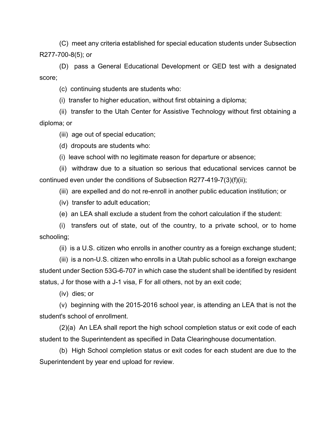(C) meet any criteria established for special education students under Subsection R277-700-8(5); or

(D) pass a General Educational Development or GED test with a designated score;

(c) continuing students are students who:

(i) transfer to higher education, without first obtaining a diploma;

(ii) transfer to the Utah Center for Assistive Technology without first obtaining a diploma; or

(iii) age out of special education;

(d) dropouts are students who:

(i) leave school with no legitimate reason for departure or absence;

(ii) withdraw due to a situation so serious that educational services cannot be continued even under the conditions of Subsection R277-419-7(3)(f)(ii);

(iii) are expelled and do not re-enroll in another public education institution; or

(iv) transfer to adult education;

(e) an LEA shall exclude a student from the cohort calculation if the student:

(i) transfers out of state, out of the country, to a private school, or to home schooling;

(ii) is a U.S. citizen who enrolls in another country as a foreign exchange student;

(iii) is a non-U.S. citizen who enrolls in a Utah public school as a foreign exchange student under Section 53G-6-707 in which case the student shall be identified by resident status, J for those with a J-1 visa, F for all others, not by an exit code;

(iv) dies; or

(v) beginning with the 2015-2016 school year, is attending an LEA that is not the student's school of enrollment.

(2)(a) An LEA shall report the high school completion status or exit code of each student to the Superintendent as specified in Data Clearinghouse documentation.

(b) High School completion status or exit codes for each student are due to the Superintendent by year end upload for review.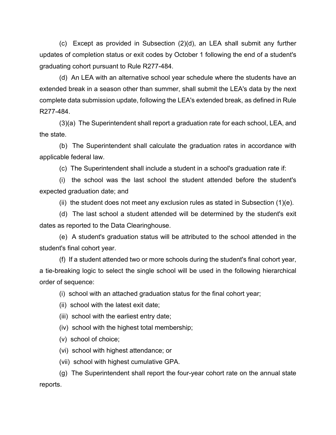(c) Except as provided in Subsection (2)(d), an LEA shall submit any further updates of completion status or exit codes by October 1 following the end of a student's graduating cohort pursuant to Rule R277-484.

(d) An LEA with an alternative school year schedule where the students have an extended break in a season other than summer, shall submit the LEA's data by the next complete data submission update, following the LEA's extended break, as defined in Rule R277-484.

(3)(a) The Superintendent shall report a graduation rate for each school, LEA, and the state.

(b) The Superintendent shall calculate the graduation rates in accordance with applicable federal law.

(c) The Superintendent shall include a student in a school's graduation rate if:

(i) the school was the last school the student attended before the student's expected graduation date; and

(ii) the student does not meet any exclusion rules as stated in Subsection  $(1)(e)$ .

(d) The last school a student attended will be determined by the student's exit dates as reported to the Data Clearinghouse.

(e) A student's graduation status will be attributed to the school attended in the student's final cohort year.

(f) If a student attended two or more schools during the student's final cohort year, a tie-breaking logic to select the single school will be used in the following hierarchical order of sequence:

(i) school with an attached graduation status for the final cohort year;

(ii) school with the latest exit date;

(iii) school with the earliest entry date;

(iv) school with the highest total membership;

(v) school of choice;

(vi) school with highest attendance; or

(vii) school with highest cumulative GPA.

(g) The Superintendent shall report the four-year cohort rate on the annual state reports.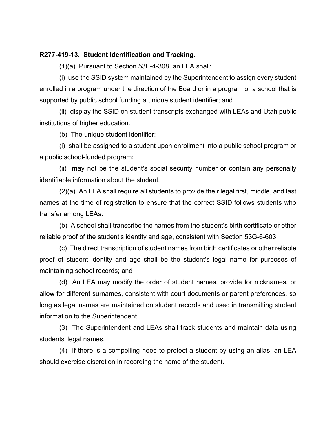### **R277-419-13. Student Identification and Tracking.**

(1)(a) Pursuant to Section 53E-4-308, an LEA shall:

(i) use the SSID system maintained by the Superintendent to assign every student enrolled in a program under the direction of the Board or in a program or a school that is supported by public school funding a unique student identifier; and

(ii) display the SSID on student transcripts exchanged with LEAs and Utah public institutions of higher education.

(b) The unique student identifier:

(i) shall be assigned to a student upon enrollment into a public school program or a public school-funded program;

(ii) may not be the student's social security number or contain any personally identifiable information about the student.

(2)(a) An LEA shall require all students to provide their legal first, middle, and last names at the time of registration to ensure that the correct SSID follows students who transfer among LEAs.

(b) A school shall transcribe the names from the student's birth certificate or other reliable proof of the student's identity and age, consistent with Section 53G-6-603;

(c) The direct transcription of student names from birth certificates or other reliable proof of student identity and age shall be the student's legal name for purposes of maintaining school records; and

(d) An LEA may modify the order of student names, provide for nicknames, or allow for different surnames, consistent with court documents or parent preferences, so long as legal names are maintained on student records and used in transmitting student information to the Superintendent.

(3) The Superintendent and LEAs shall track students and maintain data using students' legal names.

(4) If there is a compelling need to protect a student by using an alias, an LEA should exercise discretion in recording the name of the student.